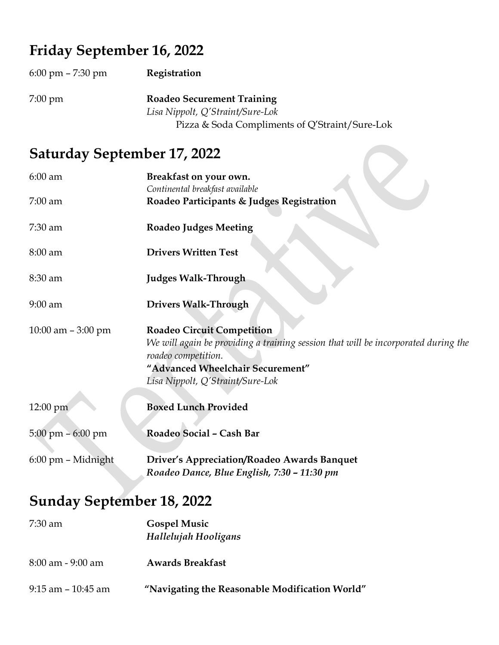## Friday September 16, 2022

| $6:00 \text{ pm} - 7:30 \text{ pm}$ | Registration                                                          |
|-------------------------------------|-----------------------------------------------------------------------|
| $7:00 \text{ pm}$                   | <b>Roadeo Securement Training</b><br>Lisa Nippolt, Q'Straint/Sure-Lok |
|                                     | Pizza & Soda Compliments of Q'Straint/Sure-Lok                        |

## Saturday September 17, 2022

| $6:00$ am                           | Breakfast on your own.<br>Continental breakfast available                                                                                                                                                              |  |
|-------------------------------------|------------------------------------------------------------------------------------------------------------------------------------------------------------------------------------------------------------------------|--|
| $7:00$ am                           | Roadeo Participants & Judges Registration                                                                                                                                                                              |  |
| 7:30 am                             | <b>Roadeo Judges Meeting</b>                                                                                                                                                                                           |  |
| 8:00 am                             | <b>Drivers Written Test</b>                                                                                                                                                                                            |  |
| 8:30 am                             | <b>Judges Walk-Through</b>                                                                                                                                                                                             |  |
| $9:00$ am                           | <b>Drivers Walk-Through</b>                                                                                                                                                                                            |  |
| 10:00 am $-3:00$ pm                 | <b>Roadeo Circuit Competition</b><br>We will again be providing a training session that will be incorporated during the<br>roadeo competition.<br>"Advanced Wheelchair Securement"<br>Lisa Nippolt, Q'Straint/Sure-Lok |  |
| 12:00 pm                            | <b>Boxed Lunch Provided</b>                                                                                                                                                                                            |  |
| $5:00 \text{ pm} - 6:00 \text{ pm}$ | Roadeo Social - Cash Bar                                                                                                                                                                                               |  |
| 6:00 pm - Midnight                  | Driver's Appreciation/Roadeo Awards Banquet<br>Roadeo Dance, Blue English, 7:30 - 11:30 pm                                                                                                                             |  |
| <b>Sunday September 18, 2022</b>    |                                                                                                                                                                                                                        |  |
| 7:30 am                             | <b>Gospel Music</b>                                                                                                                                                                                                    |  |

Hallelujah Hooligans

9:15 am – 10:45 am "Navigating the Reasonable Modification World"

8:00 am - 9:00 am Awards Breakfast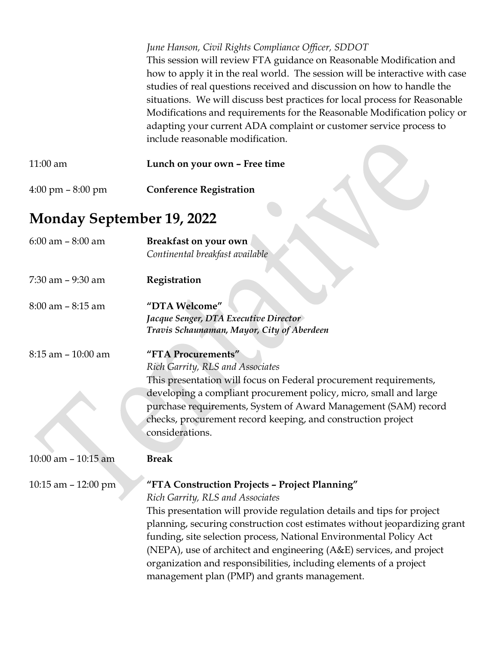|                                     | June Hanson, Civil Rights Compliance Officer, SDDOT<br>This session will review FTA guidance on Reasonable Modification and<br>how to apply it in the real world. The session will be interactive with case<br>studies of real questions received and discussion on how to handle the<br>situations. We will discuss best practices for local process for Reasonable<br>Modifications and requirements for the Reasonable Modification policy or<br>adapting your current ADA complaint or customer service process to<br>include reasonable modification. |
|-------------------------------------|------------------------------------------------------------------------------------------------------------------------------------------------------------------------------------------------------------------------------------------------------------------------------------------------------------------------------------------------------------------------------------------------------------------------------------------------------------------------------------------------------------------------------------------------------------|
| 11:00 am                            | Lunch on your own - Free time                                                                                                                                                                                                                                                                                                                                                                                                                                                                                                                              |
| $4:00 \text{ pm} - 8:00 \text{ pm}$ | <b>Conference Registration</b>                                                                                                                                                                                                                                                                                                                                                                                                                                                                                                                             |
| <b>Monday September 19, 2022</b>    |                                                                                                                                                                                                                                                                                                                                                                                                                                                                                                                                                            |
| $6:00$ am $-8:00$ am                | Breakfast on your own<br>Continental breakfast available                                                                                                                                                                                                                                                                                                                                                                                                                                                                                                   |
| 7:30 am - 9:30 am                   | Registration                                                                                                                                                                                                                                                                                                                                                                                                                                                                                                                                               |
| $8:00$ am $-8:15$ am                | "DTA Welcome"<br>Jacque Senger, DTA Executive Director<br>Travis Schaunaman, Mayor, City of Aberdeen                                                                                                                                                                                                                                                                                                                                                                                                                                                       |
| 8:15 am - 10:00 am                  | "FTA Procurements"<br>Rich Garrity, RLS and Associates<br>This presentation will focus on Federal procurement requirements,<br>developing a compliant procurement policy, micro, small and large<br>purchase requirements, System of Award Management (SAM) record<br>checks, procurement record keeping, and construction project<br>considerations.                                                                                                                                                                                                      |
| $10:00$ am $-10:15$ am              | <b>Break</b>                                                                                                                                                                                                                                                                                                                                                                                                                                                                                                                                               |
| 10:15 am $-$ 12:00 pm               | "FTA Construction Projects - Project Planning"<br>Rich Garrity, RLS and Associates<br>This presentation will provide regulation details and tips for project<br>planning, securing construction cost estimates without jeopardizing grant<br>funding, site selection process, National Environmental Policy Act<br>(NEPA), use of architect and engineering (A&E) services, and project<br>organization and responsibilities, including elements of a project<br>management plan (PMP) and grants management.                                              |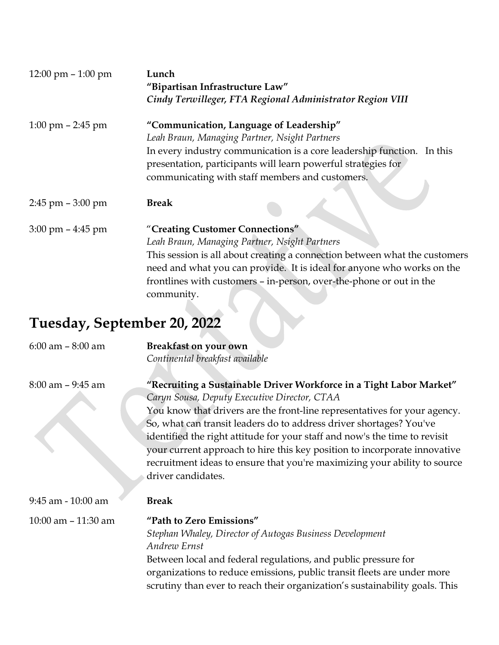| 12:00 pm $-1:00$ pm                 | Lunch<br>"Bipartisan Infrastructure Law"<br>Cindy Terwilleger, FTA Regional Administrator Region VIII |
|-------------------------------------|-------------------------------------------------------------------------------------------------------|
| $1:00 \text{ pm} - 2:45 \text{ pm}$ | "Communication, Language of Leadership"                                                               |
|                                     | Leah Braun, Managing Partner, Nsight Partners                                                         |
|                                     | In every industry communication is a core leadership function. In this                                |
|                                     | presentation, participants will learn powerful strategies for                                         |
|                                     | communicating with staff members and customers.                                                       |
| $2:45$ pm $-3:00$ pm                | <b>Break</b>                                                                                          |
| $3:00 \text{ pm} - 4:45 \text{ pm}$ | "Creating Customer Connections"                                                                       |
|                                     | Leah Braun, Managing Partner, Nsight Partners                                                         |
|                                     | This session is all about creating a connection between what the customers                            |
|                                     | need and what you can provide. It is ideal for anyone who works on the                                |
|                                     | frontlines with customers - in-person, over-the-phone or out in the                                   |
|                                     | community.                                                                                            |

## Tuesday, September 20, 2022

| $6:00$ am $-8:00$ am   | <b>Breakfast on your own</b>                                                                                                                                                                                                                                                                                                                                                                                                                                                                                                          |
|------------------------|---------------------------------------------------------------------------------------------------------------------------------------------------------------------------------------------------------------------------------------------------------------------------------------------------------------------------------------------------------------------------------------------------------------------------------------------------------------------------------------------------------------------------------------|
|                        | Continental breakfast available                                                                                                                                                                                                                                                                                                                                                                                                                                                                                                       |
| $8:00$ am $-9:45$ am   | "Recruiting a Sustainable Driver Workforce in a Tight Labor Market"<br>Caryn Sousa, Deputy Executive Director, CTAA<br>You know that drivers are the front-line representatives for your agency.<br>So, what can transit leaders do to address driver shortages? You've<br>identified the right attitude for your staff and now's the time to revisit<br>your current approach to hire this key position to incorporate innovative<br>recruitment ideas to ensure that you're maximizing your ability to source<br>driver candidates. |
| 9:45 am - 10:00 am     | <b>Break</b>                                                                                                                                                                                                                                                                                                                                                                                                                                                                                                                          |
| $10:00$ am $-11:30$ am | "Path to Zero Emissions"<br>Stephan Whaley, Director of Autogas Business Development<br>Andrew Ernst<br>Between local and federal regulations, and public pressure for<br>organizations to reduce emissions, public transit fleets are under more<br>scrutiny than ever to reach their organization's sustainability goals. This                                                                                                                                                                                                      |